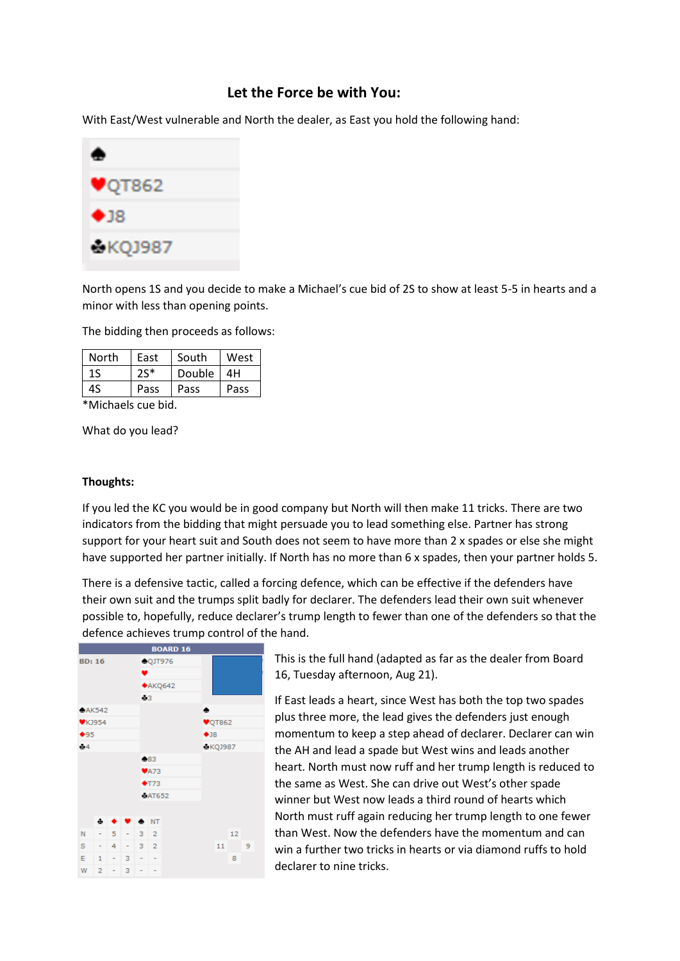## **Let the Force be with You:**

With East/West vulnerable and North the dealer, as East you hold the following hand:



North opens 1S and you decide to make a Michael's cue bid of 2S to show at least 5-5 in hearts and a minor with less than opening points.

The bidding then proceeds as follows:

| North | East  | South  | West |  |
|-------|-------|--------|------|--|
| 1S    | $25*$ | Double | 4Н   |  |
| 4S    | Pass  | Pass   | Pass |  |

\*Michaels cue bid.

What do you lead?

## **Thoughts:**

If you led the KC you would be in good company but North will then make 11 tricks. There are two indicators from the bidding that might persuade you to lead something else. Partner has strong support for your heart suit and South does not seem to have more than 2 x spades or else she might have supported her partner initially. If North has no more than 6 x spades, then your partner holds 5.

There is a defensive tactic, called a forcing defence, which can be effective if the defenders have their own suit and the trumps split badly for declarer. The defenders lead their own suit whenever possible to, hopefully, reduce declarer's trump length to fewer than one of the defenders so that the defence achieves trump control of the hand.

| <b>BOARD 16</b> |                |      |                        |                          |         |                            |    |                  |   |  |  |
|-----------------|----------------|------|------------------------|--------------------------|---------|----------------------------|----|------------------|---|--|--|
| <b>BD: 16</b>   |                |      | CQJT976<br>v.          |                          |         |                            |    |                  |   |  |  |
|                 |                |      |                        |                          |         | A KQ642                    |    |                  |   |  |  |
|                 |                |      |                        |                          | $\pm 3$ |                            |    |                  |   |  |  |
| A K542          |                |      |                        | ٠                        |         |                            |    |                  |   |  |  |
| $V$ KJ954       |                |      |                        |                          |         | $\blacktriangledown$ QT862 |    |                  |   |  |  |
| $+95$           |                |      |                        |                          |         | •18                        |    |                  |   |  |  |
| $-4$            |                |      |                        |                          |         | &KQJ987                    |    |                  |   |  |  |
|                 |                |      |                        |                          | 683     |                            |    |                  |   |  |  |
|                 |                |      |                        | $\blacktriangledown$ A73 |         |                            |    |                  |   |  |  |
|                 |                |      |                        | $+T73$                   |         |                            |    |                  |   |  |  |
|                 |                |      |                        | <b>BAT652</b>            |         |                            |    |                  |   |  |  |
|                 |                |      |                        |                          |         |                            |    |                  |   |  |  |
|                 | ⊕              |      | $\bullet$ $\bullet$ NT |                          |         |                            |    |                  |   |  |  |
| N               |                | $-5$ |                        | $-3$ 2                   |         |                            |    | 12 <sup>12</sup> |   |  |  |
| s               |                | $-4$ |                        | $-3$ 2                   |         |                            | 11 |                  | 9 |  |  |
| E.              | 1              | - 1  | 3                      | ÷.                       | ÷       |                            |    | 8                |   |  |  |
| W               | $\overline{2}$ | н.   | 3                      |                          |         |                            |    |                  |   |  |  |

This is the full hand (adapted as far as the dealer from Board 16, Tuesday afternoon, Aug 21).

If East leads a heart, since West has both the top two spades plus three more, the lead gives the defenders just enough momentum to keep a step ahead of declarer. Declarer can win the AH and lead a spade but West wins and leads another heart. North must now ruff and her trump length is reduced to the same as West. She can drive out West's other spade winner but West now leads a third round of hearts which North must ruff again reducing her trump length to one fewer than West. Now the defenders have the momentum and can win a further two tricks in hearts or via diamond ruffs to hold declarer to nine tricks.